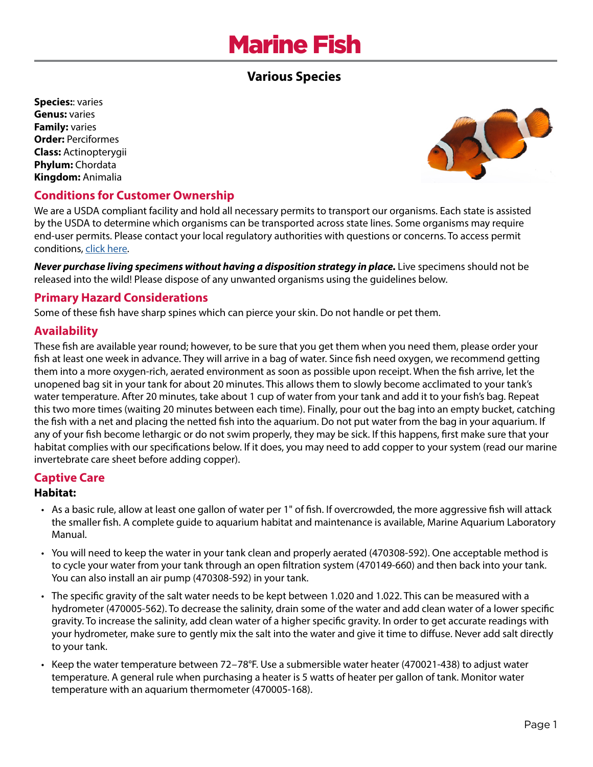# Marine Fish

# **Various Species**

**Species:**: varies **Genus:** varies **Family:** varies **Order:** Perciformes **Class:** Actinopterygii **Phylum:** Chordata **Kingdom:** Animalia



## **Conditions for Customer Ownership**

We are a USDA compliant facility and hold all necessary permits to transport our organisms. Each state is assisted by the USDA to determine which organisms can be transported across state lines. Some organisms may require end-user permits. Please contact your local regulatory authorities with questions or concerns. To access permit conditions, [click here](https://www.wardsci.com/cms/usda_state_permits_for_live_materials).

*Never purchase living specimens without having a disposition strategy in place.* Live specimens should not be released into the wild! Please dispose of any unwanted organisms using the guidelines below.

## **Primary Hazard Considerations**

Some of these fish have sharp spines which can pierce your skin. Do not handle or pet them.

## **Availability**

These fish are available year round; however, to be sure that you get them when you need them, please order your fish at least one week in advance. They will arrive in a bag of water. Since fish need oxygen, we recommend getting them into a more oxygen-rich, aerated environment as soon as possible upon receipt. When the fish arrive, let the unopened bag sit in your tank for about 20 minutes. This allows them to slowly become acclimated to your tank's water temperature. After 20 minutes, take about 1 cup of water from your tank and add it to your fish's bag. Repeat this two more times (waiting 20 minutes between each time). Finally, pour out the bag into an empty bucket, catching the fish with a net and placing the netted fish into the aquarium. Do not put water from the bag in your aquarium. If any of your fish become lethargic or do not swim properly, they may be sick. If this happens, first make sure that your habitat complies with our specifications below. If it does, you may need to add copper to your system (read our marine invertebrate care sheet before adding copper).

## **Captive Care**

#### **Habitat:**

- As a basic rule, allow at least one gallon of water per 1" of fish. If overcrowded, the more aggressive fish will attack the smaller fish. A complete guide to aquarium habitat and maintenance is available, Marine Aquarium Laboratory Manual.
- You will need to keep the water in your tank clean and properly aerated (470308-592). One acceptable method is to cycle your water from your tank through an open filtration system (470149-660) and then back into your tank. You can also install an air pump (470308-592) in your tank.
- The specific gravity of the salt water needs to be kept between 1.020 and 1.022. This can be measured with a hydrometer (470005-562). To decrease the salinity, drain some of the water and add clean water of a lower specific gravity. To increase the salinity, add clean water of a higher specific gravity. In order to get accurate readings with your hydrometer, make sure to gently mix the salt into the water and give it time to diffuse. Never add salt directly to your tank.
- Keep the water temperature between 72–78°F. Use a submersible water heater (470021-438) to adjust water temperature. A general rule when purchasing a heater is 5 watts of heater per gallon of tank. Monitor water temperature with an aquarium thermometer (470005-168).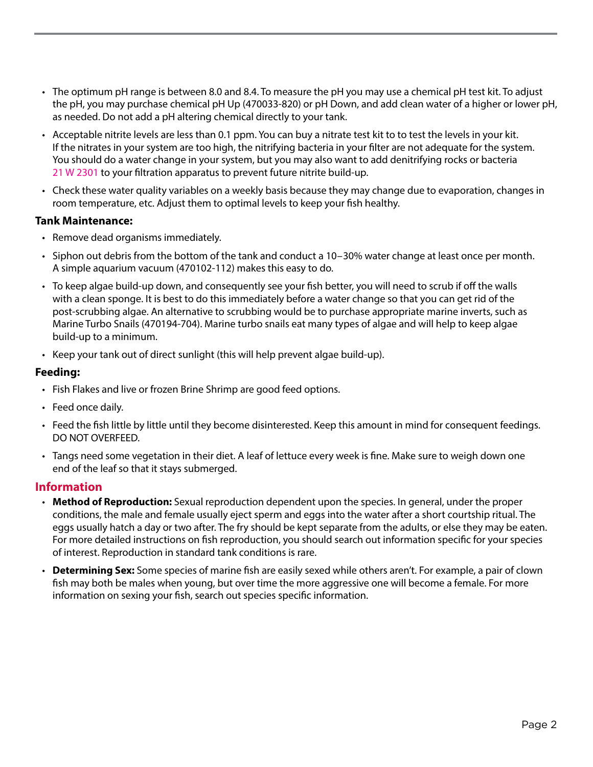- The optimum pH range is between 8.0 and 8.4. To measure the pH you may use a chemical pH test kit. To adjust the pH, you may purchase chemical pH Up (470033-820) or pH Down, and add clean water of a higher or lower pH, as needed. Do not add a pH altering chemical directly to your tank.
- Acceptable nitrite levels are less than 0.1 ppm. You can buy a nitrate test kit to to test the levels in your kit. If the nitrates in your system are too high, the nitrifying bacteria in your filter are not adequate for the system. You should do a water change in your system, but you may also want to add denitrifying rocks or bacteria 21 W 2301 to your filtration apparatus to prevent future nitrite build-up.
- Check these water quality variables on a weekly basis because they may change due to evaporation, changes in room temperature, etc. Adjust them to optimal levels to keep your fish healthy.

#### **Tank Maintenance:**

- Remove dead organisms immediately.
- Siphon out debris from the bottom of the tank and conduct a 10–30% water change at least once per month. A simple aquarium vacuum (470102-112) makes this easy to do.
- To keep algae build-up down, and consequently see your fish better, you will need to scrub if off the walls with a clean sponge. It is best to do this immediately before a water change so that you can get rid of the post-scrubbing algae. An alternative to scrubbing would be to purchase appropriate marine inverts, such as Marine Turbo Snails (470194-704). Marine turbo snails eat many types of algae and will help to keep algae build-up to a minimum.
- Keep your tank out of direct sunlight (this will help prevent algae build-up).

#### **Feeding:**

- Fish Flakes and live or frozen Brine Shrimp are good feed options.
- Feed once daily.
- Feed the fish little by little until they become disinterested. Keep this amount in mind for consequent feedings. DO NOT OVERFEED.
- Tangs need some vegetation in their diet. A leaf of lettuce every week is fine. Make sure to weigh down one end of the leaf so that it stays submerged.

#### **Information**

- **Method of Reproduction:** Sexual reproduction dependent upon the species. In general, under the proper conditions, the male and female usually eject sperm and eggs into the water after a short courtship ritual. The eggs usually hatch a day or two after. The fry should be kept separate from the adults, or else they may be eaten. For more detailed instructions on fish reproduction, you should search out information specific for your species of interest. Reproduction in standard tank conditions is rare.
- **Determining Sex:** Some species of marine fish are easily sexed while others aren't. For example, a pair of clown fish may both be males when young, but over time the more aggressive one will become a female. For more information on sexing your fish, search out species specific information.